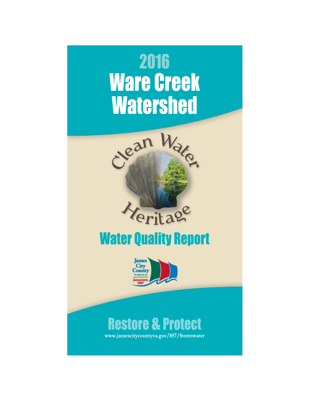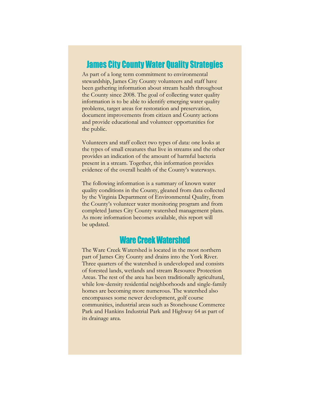### **James City County Water Quality Strategies**

As part of a long term commitment to environmental stewardship, James City County volunteers and staff have been gathering information about stream health throughout the County since 2008. The goal of collecting water quality information is to be able to identify emerging water quality problems, target areas for restoration and preservation, document improvements from citizen and County actions and provide educational and volunteer opportunities for the public.

Volunteers and staff collect two types of data: one looks at the types of small creatures that live in streams and the other provides an indication of the amount of harmful bacteria present in a stream. Together, this information provides evidence of the overall health of the County's waterways.

The following information is a summary of known water quality conditions in the County, gleaned from data collected by the Virginia Department of Environmental Quality, from the County's volunteer water monitoring program and from completed James City County watershed management plans. As more information becomes available, this report will be updated.

## **Ware Creek Watershed**

The Ware Creek Watershed is located in the most northern part of James City County and drains into the York River. Three quarters of the watershed is undeveloped and consists of forested lands, wetlands and stream Resource Protection Areas. The rest of the area has been traditionally agricultural, while low-density residential neighborhoods and single-family homes are becoming more numerous. The watershed also encompasses some newer development, golf course communities, industrial areas such as Stonehouse Commerce Park and Hankins Industrial Park and Highway 64 as part of its drainage area.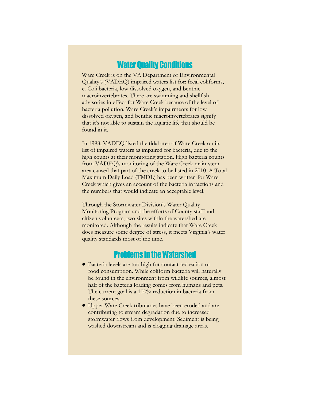## **Water Quality Conditions**

Ware Creek is on the VA Department of Environmental Quality's (VADEQ) impaired waters list for: fecal coliforms, e. Coli bacteria, low dissolved oxygen, and benthic macroinvertebrates. There are swimming and shellfish advisories in effect for Ware Creek because of the level of bacteria pollution. Ware Creek's impairments for low dissolved oxygen, and benthic macroinvertebrates signify that it's not able to sustain the aquatic life that should be found in it.

In 1998, VADEQ listed the tidal area of Ware Creek on its list of impaired waters as impaired for bacteria, due to the high counts at their monitoring station. High bacteria counts from VADEQ's monitoring of the Ware Creek main-stem area caused that part of the creek to be listed in 2010. A Total Maximum Daily Load (TMDL) has been written for Ware Creek which gives an account of the bacteria infractions and the numbers that would indicate an acceptable level.

Through the Stormwater Division's Water Quality Monitoring Program and the efforts of County staff and citizen volunteers, two sites within the watershed are monitored. Although the results indicate that Ware Creek does measure some degree of stress, it meets Virginia's water quality standards most of the time.

# **Problems in the Watershed**

- Bacteria levels are too high for contact recreation or food consumption. While coliform bacteria will naturally be found in the environment from wildlife sources, almost half of the bacteria loading comes from humans and pets. The current goal is a 100% reduction in bacteria from these sources.
- Upper Ware Creek tributaries have been eroded and are contributing to stream degradation due to increased stormwater flows from development. Sediment is being washed downstream and is clogging drainage areas.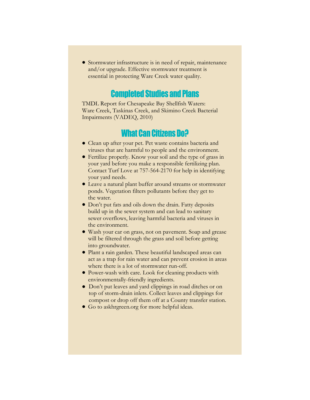Stormwater infrastructure is in need of repair, maintenance and/or upgrade. Effective stormwater treatment is essential in protecting Ware Creek water quality.

## **Completed Studies and Plans**

TMDL Report for Chesapeake Bay Shellfish Waters: Ware Creek, Taskinas Creek, and Skimino Creek Bacterial Impairments (VADEQ, 2010)

### **What Can Citizens Do?**

- Clean up after your pet. Pet waste contains bacteria and viruses that are harmful to people and the environment.
- Fertilize properly. Know your soil and the type of grass in your yard before you make a responsible fertilizing plan. Contact Turf Love at 757-564-2170 for help in identifying your yard needs.
- Leave a natural plant buffer around streams or stormwater ponds. Vegetation filters pollutants before they get to the water.
- Don't put fats and oils down the drain. Fatty deposits build up in the sewer system and can lead to sanitary sewer overflows, leaving harmful bacteria and viruses in the environment.
- Wash your car on grass, not on pavement. Soap and grease will be filtered through the grass and soil before getting into groundwater.
- Plant a rain garden. These beautiful landscaped areas can act as a trap for rain water and can prevent erosion in areas where there is a lot of stormwater run-off.
- Power-wash with care. Look for cleaning products with environmentally-friendly ingredients.
- Don't put leaves and yard clippings in road ditches or on top of storm-drain inlets. Collect leaves and clippings for compost or drop off them off at a County transfer station.
- Go to askhrgreen.org for more helpful ideas.